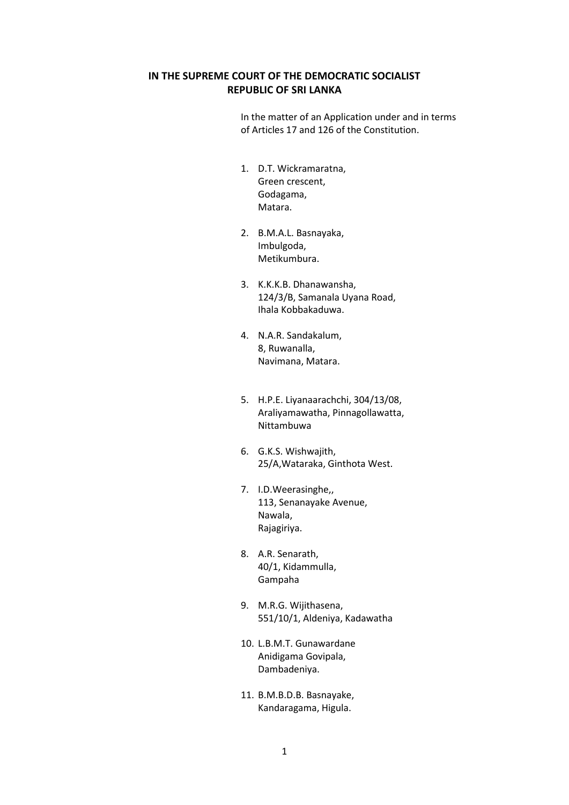# **IN THE SUPREME COURT OF THE DEMOCRATIC SOCIALIST REPUBLIC OF SRI LANKA**

In the matter of an Application under and in terms of Articles 17 and 126 of the Constitution.

- 1. D.T. Wickramaratna, Green crescent, Godagama, Matara.
- 2. B.M.A.L. Basnayaka, Imbulgoda, Metikumbura.
- 3. K.K.K.B. Dhanawansha, 124/3/B, Samanala Uyana Road, Ihala Kobbakaduwa.
- 4. N.A.R. Sandakalum, 8, Ruwanalla, Navimana, Matara.
- 5. H.P.E. Liyanaarachchi, 304/13/08, Araliyamawatha, Pinnagollawatta, Nittambuwa
- 6. G.K.S. Wishwajith, 25/A,Wataraka, Ginthota West.
- 7. I.D.Weerasinghe,, 113, Senanayake Avenue, Nawala, Rajagiriya.
- 8. A.R. Senarath, 40/1, Kidammulla, Gampaha
- 9. M.R.G. Wijithasena, 551/10/1, Aldeniya, Kadawatha
- 10. L.B.M.T. Gunawardane Anidigama Govipala, Dambadeniya.
- 11. B.M.B.D.B. Basnayake, Kandaragama, Higula.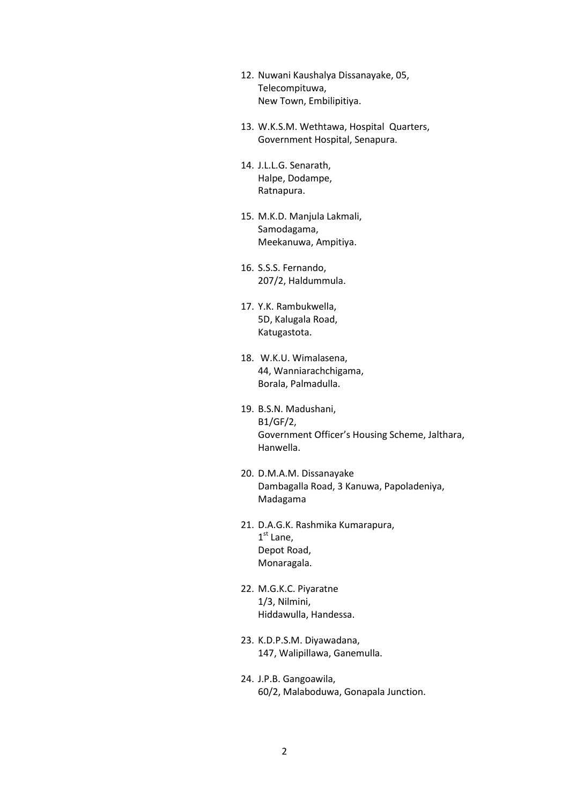- 12. Nuwani Kaushalya Dissanayake, 05, Telecompituwa, New Town, Embilipitiya.
- 13. W.K.S.M. Wethtawa, Hospital Quarters, Government Hospital, Senapura.
- 14. J.L.L.G. Senarath, Halpe, Dodampe, Ratnapura.
- 15. M.K.D. Manjula Lakmali, Samodagama, Meekanuwa, Ampitiya.
- 16. S.S.S. Fernando, 207/2, Haldummula.
- 17. Y.K. Rambukwella, 5D, Kalugala Road, Katugastota.
- 18. W.K.U. Wimalasena, 44, Wanniarachchigama, Borala, Palmadulla.
- 19. B.S.N. Madushani, B1/GF/2, Government Officer's Housing Scheme, Jalthara, Hanwella.
- 20. D.M.A.M. Dissanayake Dambagalla Road, 3 Kanuwa, Papoladeniya, Madagama
- 21. D.A.G.K. Rashmika Kumarapura, 1<sup>st</sup> Lane, Depot Road, Monaragala.
- 22. M.G.K.C. Piyaratne 1/3, Nilmini, Hiddawulla, Handessa.
- 23. K.D.P.S.M. Diyawadana, 147, Walipillawa, Ganemulla.
- 24. J.P.B. Gangoawila, 60/2, Malaboduwa, Gonapala Junction.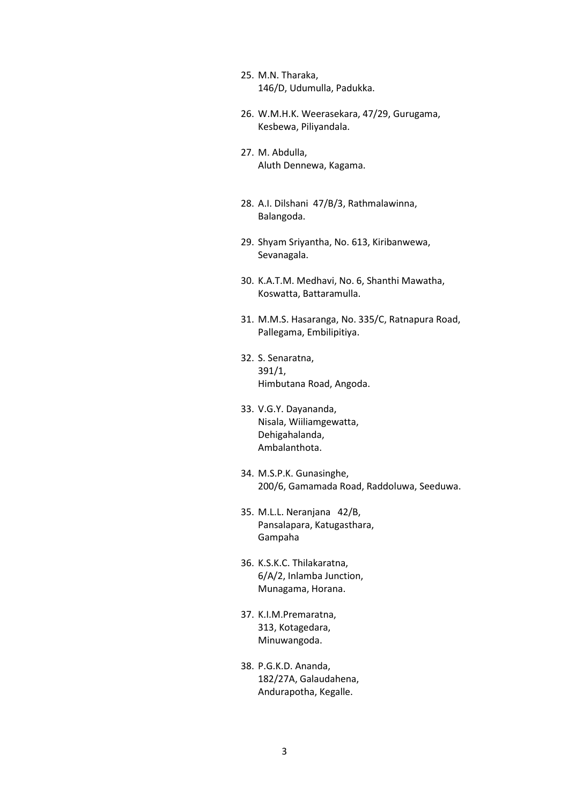- 25. M.N. Tharaka, 146/D, Udumulla, Padukka.
- 26. W.M.H.K. Weerasekara, 47/29, Gurugama, Kesbewa, Piliyandala.
- 27. M. Abdulla, Aluth Dennewa, Kagama.
- 28. A.I. Dilshani 47/B/3, Rathmalawinna, Balangoda.
- 29. Shyam Sriyantha, No. 613, Kiribanwewa, Sevanagala.
- 30. K.A.T.M. Medhavi, No. 6, Shanthi Mawatha, Koswatta, Battaramulla.
- 31. M.M.S. Hasaranga, No. 335/C, Ratnapura Road, Pallegama, Embilipitiya.
- 32. S. Senaratna, 391/1, Himbutana Road, Angoda.
- 33. V.G.Y. Dayananda, Nisala, Wiiliamgewatta, Dehigahalanda, Ambalanthota.
- 34. M.S.P.K. Gunasinghe, 200/6, Gamamada Road, Raddoluwa, Seeduwa.
- 35. M.L.L. Neranjana 42/B, Pansalapara, Katugasthara, Gampaha
- 36. K.S.K.C. Thilakaratna, 6/A/2, Inlamba Junction, Munagama, Horana.
- 37. K.I.M.Premaratna, 313, Kotagedara, Minuwangoda.
- 38. P.G.K.D. Ananda, 182/27A, Galaudahena, Andurapotha, Kegalle.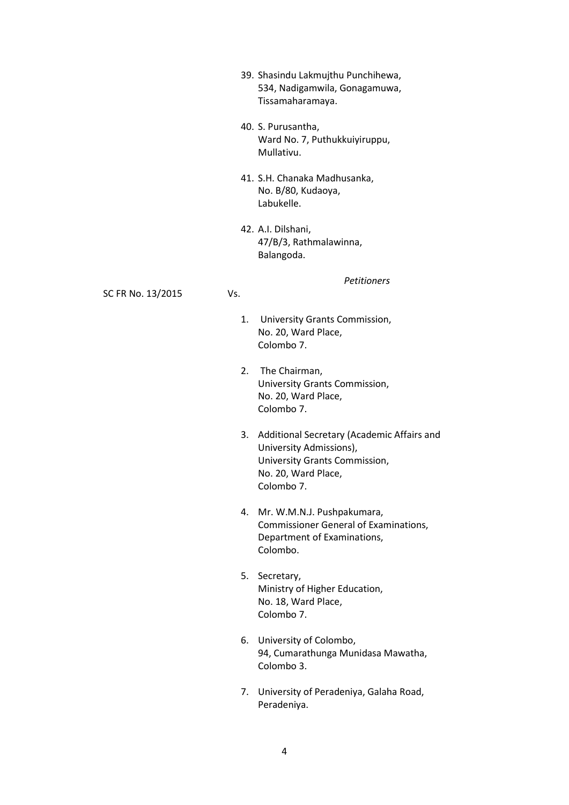- 39. Shasindu Lakmujthu Punchihewa, 534, Nadigamwila, Gonagamuwa, Tissamaharamaya.
- 40. S. Purusantha, Ward No. 7, Puthukkuiyiruppu, Mullativu.
- 41. S.H. Chanaka Madhusanka, No. B/80, Kudaoya, Labukelle.
- 42. A.I. Dilshani, 47/B/3, Rathmalawinna, Balangoda.

*Petitioners*

SC FR No. 13/2015 Vs.

- 1. University Grants Commission, No. 20, Ward Place, Colombo 7.
- 2. The Chairman, University Grants Commission, No. 20, Ward Place, Colombo 7.
- 3. Additional Secretary (Academic Affairs and University Admissions), University Grants Commission, No. 20, Ward Place, Colombo 7.
- 4. Mr. W.M.N.J. Pushpakumara, Commissioner General of Examinations, Department of Examinations, Colombo.
- 5. Secretary, Ministry of Higher Education, No. 18, Ward Place, Colombo 7.
- 6. University of Colombo, 94, Cumarathunga Munidasa Mawatha, Colombo 3.
- 7. University of Peradeniya, Galaha Road, Peradeniya.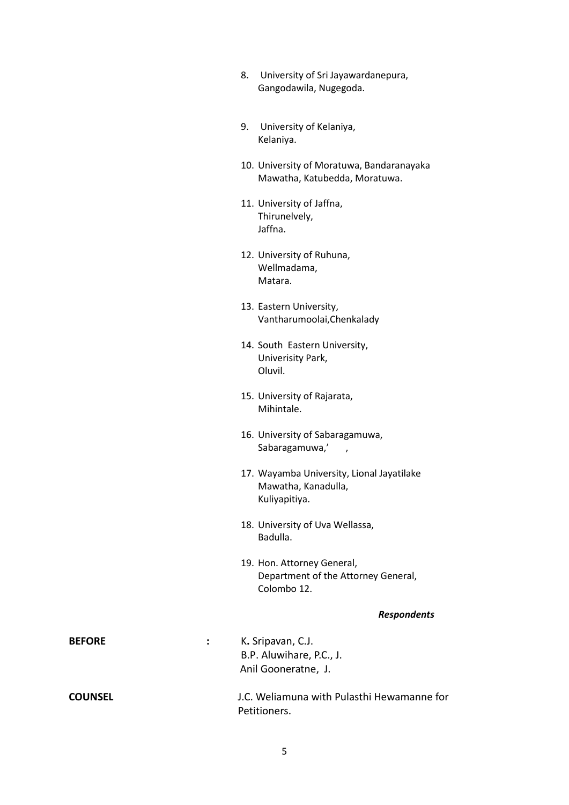- 8. University of Sri Jayawardanepura, Gangodawila, Nugegoda.
- 9. University of Kelaniya, Kelaniya.
- 10. University of Moratuwa, Bandaranayaka Mawatha, Katubedda, Moratuwa.
- 11. University of Jaffna, Thirunelvely, Jaffna.
- 12. University of Ruhuna, Wellmadama, Matara.
- 13. Eastern University, Vantharumoolai,Chenkalady
- 14. South Eastern University, Univerisity Park, Oluvil.
- 15. University of Rajarata, Mihintale.
- 16. University of Sabaragamuwa, Sabaragamuwa,',
- 17. Wayamba University, Lional Jayatilake Mawatha, Kanadulla, Kuliyapitiya.
- 18. University of Uva Wellassa, Badulla.
- 19. Hon. Attorney General, Department of the Attorney General, Colombo 12.

# *Respondents*

| <b>BEFORE</b>  | K. Sripavan, C.J.<br>B.P. Aluwihare, P.C., J.<br>Anil Gooneratne, J. |
|----------------|----------------------------------------------------------------------|
| <b>COUNSEL</b> | J.C. Weliamuna with Pulasthi Hewamanne for<br>Petitioners.           |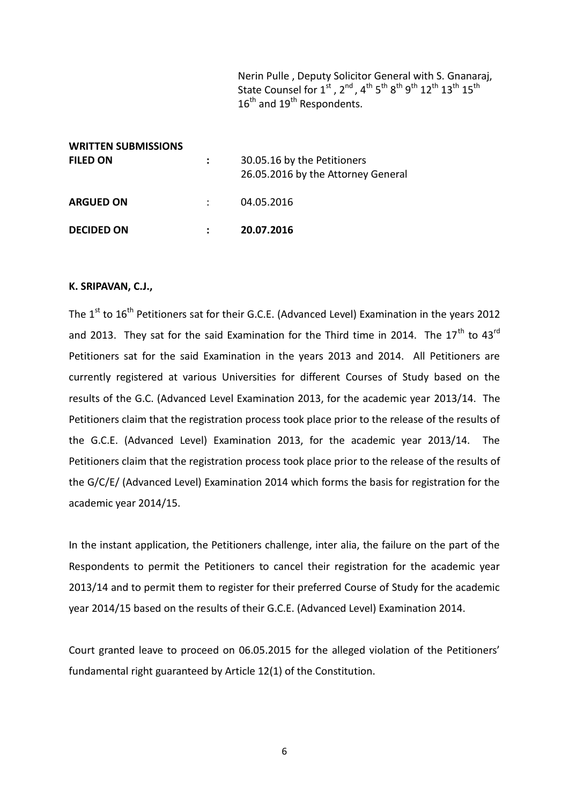Nerin Pulle , Deputy Solicitor General with S. Gnanaraj, State Counsel for 1<sup>st</sup>, 2<sup>nd</sup>, 4<sup>th</sup> 5<sup>th</sup> 8<sup>th</sup> 9<sup>th</sup> 12<sup>th</sup> 13<sup>th</sup> 15<sup>th</sup>  $16^{\text{th}}$  and  $19^{\text{th}}$  Respondents.

| <b>WRITTEN SUBMISSIONS</b><br><b>FILED ON</b> | 30.05.16 by the Petitioners                      |
|-----------------------------------------------|--------------------------------------------------|
| <b>ARGUED ON</b>                              | 26.05.2016 by the Attorney General<br>04.05.2016 |
| <b>DECIDED ON</b>                             | 20.07.2016                                       |

#### **K. SRIPAVAN, C.J.,**

The 1<sup>st</sup> to 16<sup>th</sup> Petitioners sat for their G.C.E. (Advanced Level) Examination in the years 2012 and 2013. They sat for the said Examination for the Third time in 2014. The  $17<sup>th</sup>$  to  $43<sup>rd</sup>$ Petitioners sat for the said Examination in the years 2013 and 2014. All Petitioners are currently registered at various Universities for different Courses of Study based on the results of the G.C. (Advanced Level Examination 2013, for the academic year 2013/14. The Petitioners claim that the registration process took place prior to the release of the results of the G.C.E. (Advanced Level) Examination 2013, for the academic year 2013/14. The Petitioners claim that the registration process took place prior to the release of the results of the G/C/E/ (Advanced Level) Examination 2014 which forms the basis for registration for the academic year 2014/15.

In the instant application, the Petitioners challenge, inter alia, the failure on the part of the Respondents to permit the Petitioners to cancel their registration for the academic year 2013/14 and to permit them to register for their preferred Course of Study for the academic year 2014/15 based on the results of their G.C.E. (Advanced Level) Examination 2014.

Court granted leave to proceed on 06.05.2015 for the alleged violation of the Petitioners' fundamental right guaranteed by Article 12(1) of the Constitution.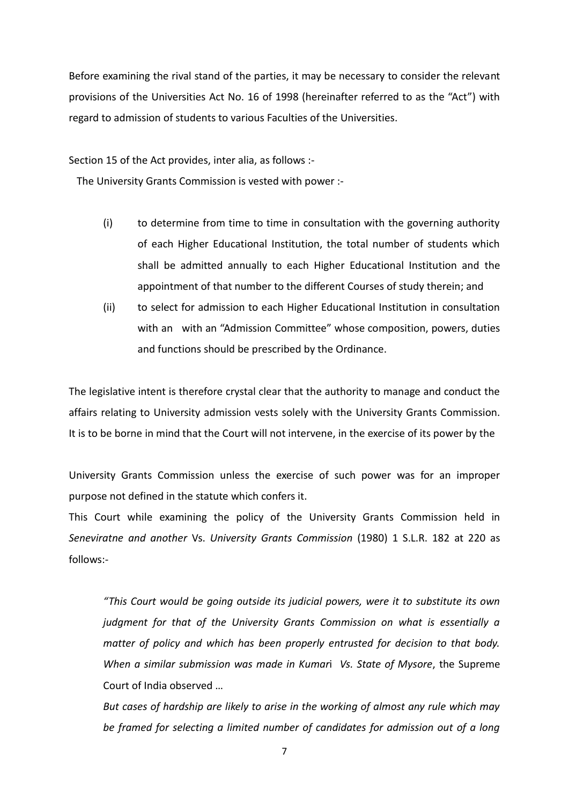Before examining the rival stand of the parties, it may be necessary to consider the relevant provisions of the Universities Act No. 16 of 1998 (hereinafter referred to as the "Act") with regard to admission of students to various Faculties of the Universities.

Section 15 of the Act provides, inter alia, as follows :-

The University Grants Commission is vested with power :-

- (i) to determine from time to time in consultation with the governing authority of each Higher Educational Institution, the total number of students which shall be admitted annually to each Higher Educational Institution and the appointment of that number to the different Courses of study therein; and
- (ii) to select for admission to each Higher Educational Institution in consultation with an with an "Admission Committee" whose composition, powers, duties and functions should be prescribed by the Ordinance.

The legislative intent is therefore crystal clear that the authority to manage and conduct the affairs relating to University admission vests solely with the University Grants Commission. It is to be borne in mind that the Court will not intervene, in the exercise of its power by the

University Grants Commission unless the exercise of such power was for an improper purpose not defined in the statute which confers it.

This Court while examining the policy of the University Grants Commission held in *Seneviratne and another* Vs. *University Grants Commission* (1980) 1 S.L.R. 182 at 220 as follows:-

*"This Court would be going outside its judicial powers, were it to substitute its own judgment for that of the University Grants Commission on what is essentially a matter of policy and which has been properly entrusted for decision to that body. When a similar submission was made in Kumar*i *Vs. State of Mysore*, the Supreme Court of India observed …

*But cases of hardship are likely to arise in the working of almost any rule which may be framed for selecting a limited number of candidates for admission out of a long*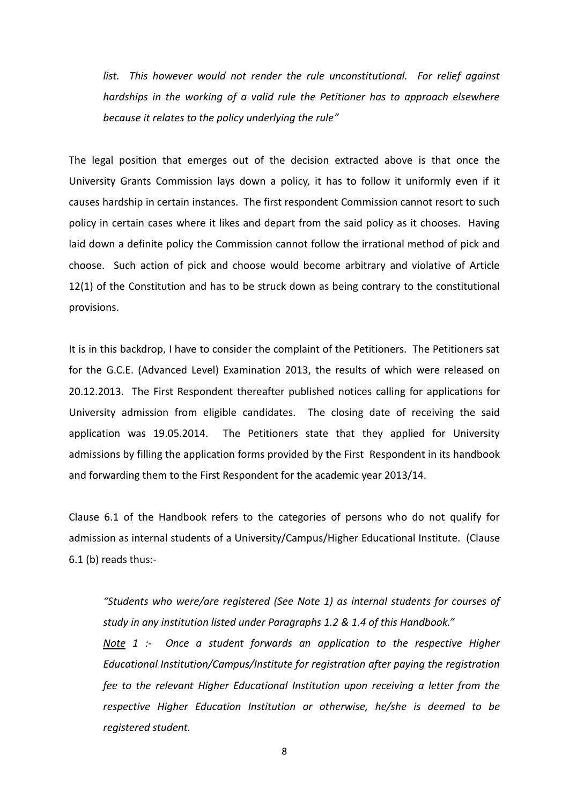list. This however would not render the rule unconstitutional. For relief against *hardships in the working of a valid rule the Petitioner has to approach elsewhere because it relates to the policy underlying the rule"*

The legal position that emerges out of the decision extracted above is that once the University Grants Commission lays down a policy, it has to follow it uniformly even if it causes hardship in certain instances. The first respondent Commission cannot resort to such policy in certain cases where it likes and depart from the said policy as it chooses. Having laid down a definite policy the Commission cannot follow the irrational method of pick and choose. Such action of pick and choose would become arbitrary and violative of Article 12(1) of the Constitution and has to be struck down as being contrary to the constitutional provisions.

It is in this backdrop, I have to consider the complaint of the Petitioners. The Petitioners sat for the G.C.E. (Advanced Level) Examination 2013, the results of which were released on 20.12.2013. The First Respondent thereafter published notices calling for applications for University admission from eligible candidates. The closing date of receiving the said application was 19.05.2014. The Petitioners state that they applied for University admissions by filling the application forms provided by the First Respondent in its handbook and forwarding them to the First Respondent for the academic year 2013/14.

Clause 6.1 of the Handbook refers to the categories of persons who do not qualify for admission as internal students of a University/Campus/Higher Educational Institute. (Clause 6.1 (b) reads thus:-

*"Students who were/are registered (See Note 1) as internal students for courses of study in any institution listed under Paragraphs 1.2 & 1.4 of this Handbook."*

*Note 1 :- Once a student forwards an application to the respective Higher Educational Institution/Campus/Institute for registration after paying the registration fee to the relevant Higher Educational Institution upon receiving a letter from the respective Higher Education Institution or otherwise, he/she is deemed to be registered student.*

8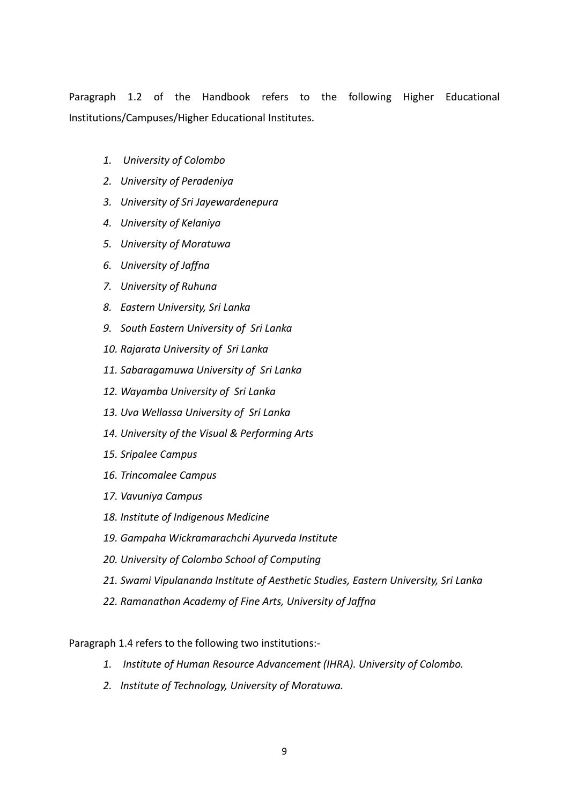Paragraph 1.2 of the Handbook refers to the following Higher Educational Institutions/Campuses/Higher Educational Institutes.

- *1. University of Colombo*
- *2. University of Peradeniya*
- *3. University of Sri Jayewardenepura*
- *4. University of Kelaniya*
- *5. University of Moratuwa*
- *6. University of Jaffna*
- *7. University of Ruhuna*
- *8. Eastern University, Sri Lanka*
- *9. South Eastern University of Sri Lanka*
- *10. Rajarata University of Sri Lanka*
- *11. Sabaragamuwa University of Sri Lanka*
- *12. Wayamba University of Sri Lanka*
- *13. Uva Wellassa University of Sri Lanka*
- *14. University of the Visual & Performing Arts*
- *15. Sripalee Campus*
- *16. Trincomalee Campus*
- *17. Vavuniya Campus*
- *18. Institute of Indigenous Medicine*
- *19. Gampaha Wickramarachchi Ayurveda Institute*
- *20. University of Colombo School of Computing*
- *21. Swami Vipulananda Institute of Aesthetic Studies, Eastern University, Sri Lanka*
- *22. Ramanathan Academy of Fine Arts, University of Jaffna*

Paragraph 1.4 refers to the following two institutions:-

- *1. Institute of Human Resource Advancement (IHRA). University of Colombo.*
- *2. Institute of Technology, University of Moratuwa.*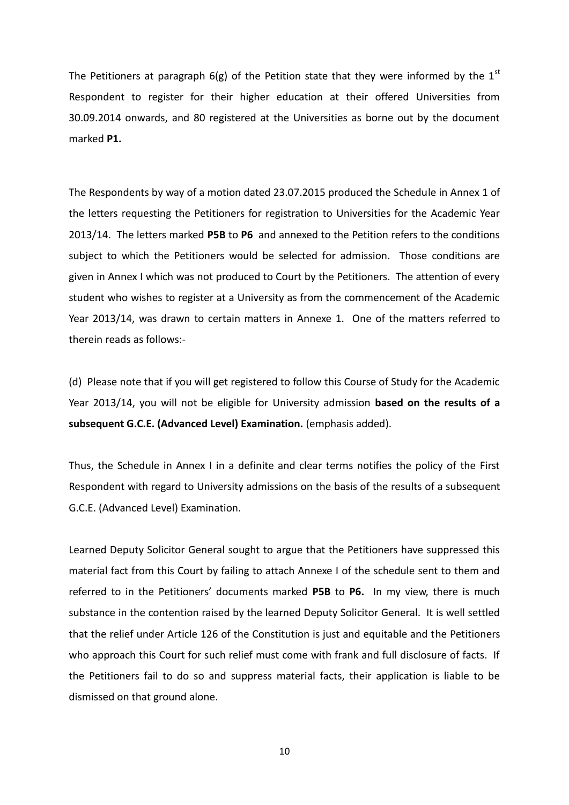The Petitioners at paragraph 6(g) of the Petition state that they were informed by the  $1<sup>st</sup>$ Respondent to register for their higher education at their offered Universities from 30.09.2014 onwards, and 80 registered at the Universities as borne out by the document marked **P1.**

The Respondents by way of a motion dated 23.07.2015 produced the Schedule in Annex 1 of the letters requesting the Petitioners for registration to Universities for the Academic Year 2013/14. The letters marked **P5B** to **P6** and annexed to the Petition refers to the conditions subject to which the Petitioners would be selected for admission. Those conditions are given in Annex I which was not produced to Court by the Petitioners. The attention of every student who wishes to register at a University as from the commencement of the Academic Year 2013/14, was drawn to certain matters in Annexe 1. One of the matters referred to therein reads as follows:-

(d) Please note that if you will get registered to follow this Course of Study for the Academic Year 2013/14, you will not be eligible for University admission **based on the results of a subsequent G.C.E. (Advanced Level) Examination.** (emphasis added).

Thus, the Schedule in Annex I in a definite and clear terms notifies the policy of the First Respondent with regard to University admissions on the basis of the results of a subsequent G.C.E. (Advanced Level) Examination.

Learned Deputy Solicitor General sought to argue that the Petitioners have suppressed this material fact from this Court by failing to attach Annexe I of the schedule sent to them and referred to in the Petitioners' documents marked **P5B** to **P6.** In my view, there is much substance in the contention raised by the learned Deputy Solicitor General. It is well settled that the relief under Article 126 of the Constitution is just and equitable and the Petitioners who approach this Court for such relief must come with frank and full disclosure of facts. If the Petitioners fail to do so and suppress material facts, their application is liable to be dismissed on that ground alone.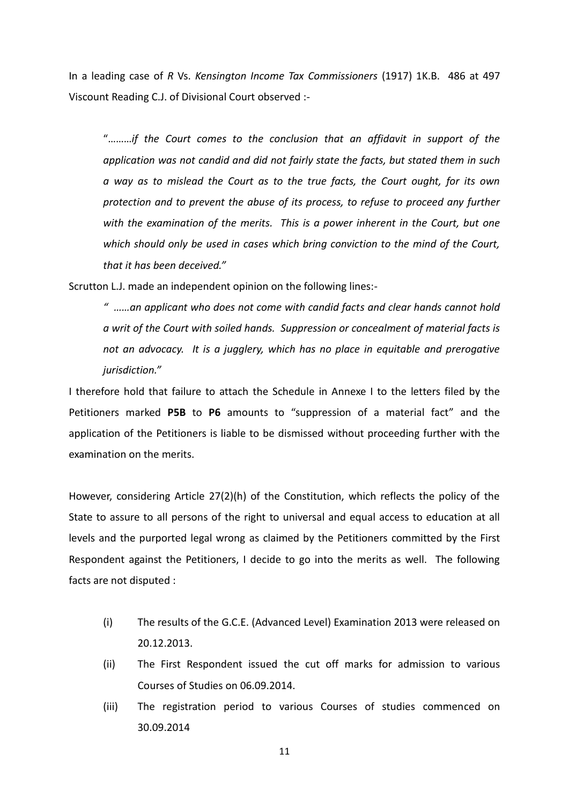In a leading case of *R* Vs. *Kensington Income Tax Commissioners* (1917) 1K.B. 486 at 497 Viscount Reading C.J. of Divisional Court observed :-

"………*if the Court comes to the conclusion that an affidavit in support of the application was not candid and did not fairly state the facts, but stated them in such a way as to mislead the Court as to the true facts, the Court ought, for its own protection and to prevent the abuse of its process, to refuse to proceed any further with the examination of the merits. This is a power inherent in the Court, but one which should only be used in cases which bring conviction to the mind of the Court, that it has been deceived."*

Scrutton L.J. made an independent opinion on the following lines:-

*" ……an applicant who does not come with candid facts and clear hands cannot hold a writ of the Court with soiled hands. Suppression or concealment of material facts is not an advocacy. It is a jugglery, which has no place in equitable and prerogative jurisdiction."*

I therefore hold that failure to attach the Schedule in Annexe I to the letters filed by the Petitioners marked **P5B** to **P6** amounts to "suppression of a material fact" and the application of the Petitioners is liable to be dismissed without proceeding further with the examination on the merits.

However, considering Article 27(2)(h) of the Constitution, which reflects the policy of the State to assure to all persons of the right to universal and equal access to education at all levels and the purported legal wrong as claimed by the Petitioners committed by the First Respondent against the Petitioners, I decide to go into the merits as well. The following facts are not disputed :

- (i) The results of the G.C.E. (Advanced Level) Examination 2013 were released on 20.12.2013.
- (ii) The First Respondent issued the cut off marks for admission to various Courses of Studies on 06.09.2014.
- (iii) The registration period to various Courses of studies commenced on 30.09.2014

11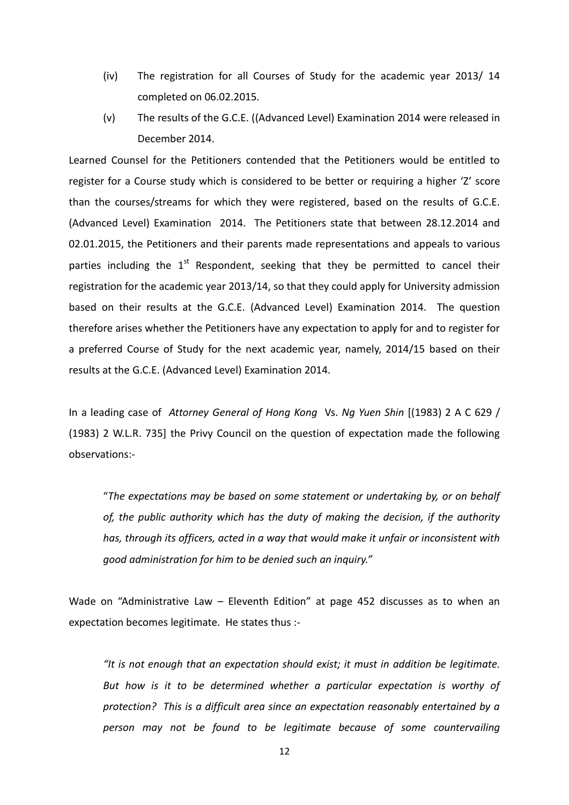- (iv) The registration for all Courses of Study for the academic year 2013/ 14 completed on 06.02.2015.
- (v) The results of the G.C.E. ((Advanced Level) Examination 2014 were released in December 2014.

Learned Counsel for the Petitioners contended that the Petitioners would be entitled to register for a Course study which is considered to be better or requiring a higher 'Z' score than the courses/streams for which they were registered, based on the results of G.C.E. (Advanced Level) Examination 2014. The Petitioners state that between 28.12.2014 and 02.01.2015, the Petitioners and their parents made representations and appeals to various parties including the  $1<sup>st</sup>$  Respondent, seeking that they be permitted to cancel their registration for the academic year 2013/14, so that they could apply for University admission based on their results at the G.C.E. (Advanced Level) Examination 2014. The question therefore arises whether the Petitioners have any expectation to apply for and to register for a preferred Course of Study for the next academic year, namely, 2014/15 based on their results at the G.C.E. (Advanced Level) Examination 2014.

In a leading case of *Attorney General of Hong Kong* Vs. *Ng Yuen Shin* [(1983) 2 A C 629 / (1983) 2 W.L.R. 735] the Privy Council on the question of expectation made the following observations:-

"*The expectations may be based on some statement or undertaking by, or on behalf of, the public authority which has the duty of making the decision, if the authority has, through its officers, acted in a way that would make it unfair or inconsistent with good administration for him to be denied such an inquiry."*

Wade on "Administrative Law – Eleventh Edition" at page 452 discusses as to when an expectation becomes legitimate. He states thus :-

*"It is not enough that an expectation should exist; it must in addition be legitimate. But how is it to be determined whether a particular expectation is worthy of protection? This is a difficult area since an expectation reasonably entertained by a person may not be found to be legitimate because of some countervailing*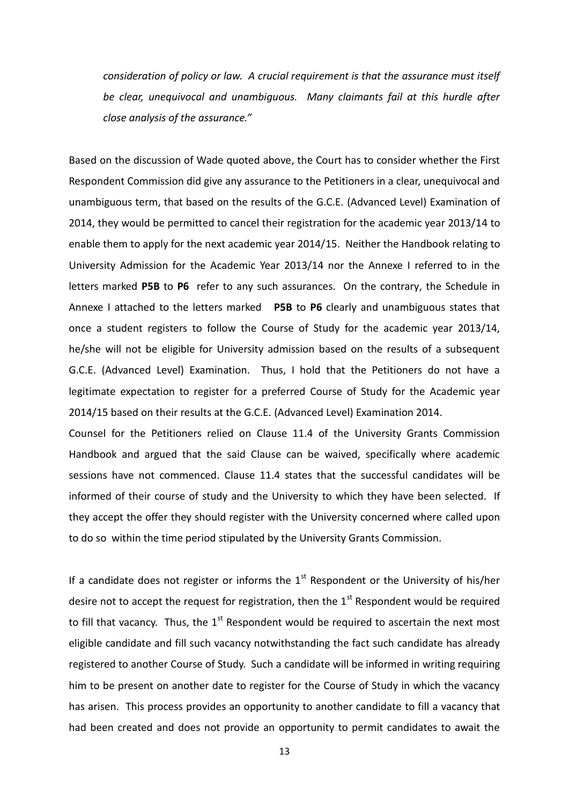*consideration of policy or law. A crucial requirement is that the assurance must itself be clear, unequivocal and unambiguous. Many claimants fail at this hurdle after close analysis of the assurance."* 

Based on the discussion of Wade quoted above, the Court has to consider whether the First Respondent Commission did give any assurance to the Petitioners in a clear, unequivocal and unambiguous term, that based on the results of the G.C.E. (Advanced Level) Examination of 2014, they would be permitted to cancel their registration for the academic year 2013/14 to enable them to apply for the next academic year 2014/15. Neither the Handbook relating to University Admission for the Academic Year 2013/14 nor the Annexe I referred to in the letters marked **P5B** to **P6** refer to any such assurances. On the contrary, the Schedule in Annexe I attached to the letters marked **P5B** to **P6** clearly and unambiguous states that once a student registers to follow the Course of Study for the academic year 2013/14, he/she will not be eligible for University admission based on the results of a subsequent G.C.E. (Advanced Level) Examination. Thus, I hold that the Petitioners do not have a legitimate expectation to register for a preferred Course of Study for the Academic year 2014/15 based on their results at the G.C.E. (Advanced Level) Examination 2014.

Counsel for the Petitioners relied on Clause 11.4 of the University Grants Commission Handbook and argued that the said Clause can be waived, specifically where academic sessions have not commenced. Clause 11.4 states that the successful candidates will be informed of their course of study and the University to which they have been selected. If they accept the offer they should register with the University concerned where called upon to do so within the time period stipulated by the University Grants Commission.

If a candidate does not register or informs the  $1<sup>st</sup>$  Respondent or the University of his/her desire not to accept the request for registration, then the  $1<sup>st</sup>$  Respondent would be required to fill that vacancy. Thus, the  $1<sup>st</sup>$  Respondent would be required to ascertain the next most eligible candidate and fill such vacancy notwithstanding the fact such candidate has already registered to another Course of Study. Such a candidate will be informed in writing requiring him to be present on another date to register for the Course of Study in which the vacancy has arisen. This process provides an opportunity to another candidate to fill a vacancy that had been created and does not provide an opportunity to permit candidates to await the

13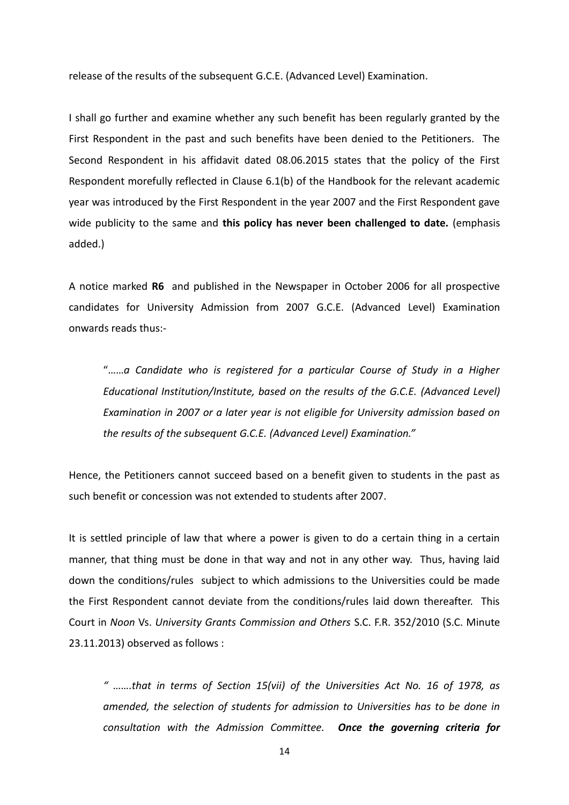release of the results of the subsequent G.C.E. (Advanced Level) Examination.

I shall go further and examine whether any such benefit has been regularly granted by the First Respondent in the past and such benefits have been denied to the Petitioners. The Second Respondent in his affidavit dated 08.06.2015 states that the policy of the First Respondent morefully reflected in Clause 6.1(b) of the Handbook for the relevant academic year was introduced by the First Respondent in the year 2007 and the First Respondent gave wide publicity to the same and **this policy has never been challenged to date.** (emphasis added.)

A notice marked **R6** and published in the Newspaper in October 2006 for all prospective candidates for University Admission from 2007 G.C.E. (Advanced Level) Examination onwards reads thus:-

"……*a Candidate who is registered for a particular Course of Study in a Higher Educational Institution/Institute, based on the results of the G.C.E. (Advanced Level) Examination in 2007 or a later year is not eligible for University admission based on the results of the subsequent G.C.E. (Advanced Level) Examination."*

Hence, the Petitioners cannot succeed based on a benefit given to students in the past as such benefit or concession was not extended to students after 2007.

It is settled principle of law that where a power is given to do a certain thing in a certain manner, that thing must be done in that way and not in any other way. Thus, having laid down the conditions/rules subject to which admissions to the Universities could be made the First Respondent cannot deviate from the conditions/rules laid down thereafter. This Court in *Noon* Vs. *University Grants Commission and Others* S.C. F.R. 352/2010 (S.C. Minute 23.11.2013) observed as follows :

*" …….that in terms of Section 15(vii) of the Universities Act No. 16 of 1978, as amended, the selection of students for admission to Universities has to be done in consultation with the Admission Committee. Once the governing criteria for*